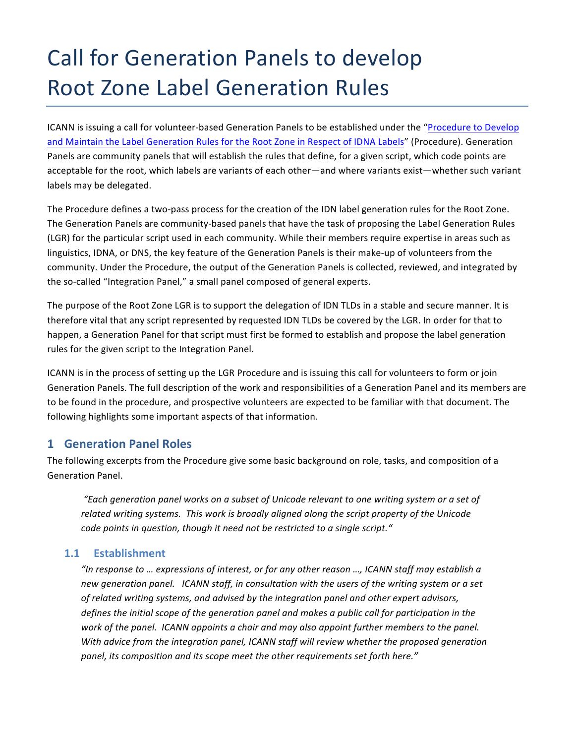# Call for Generation Panels to develop **Root Zone Label Generation Rules**

ICANN is issuing a call for volunteer-based Generation Panels to be established under the "Procedure to Develop and Maintain the Label Generation Rules for the Root Zone in Respect of IDNA Labels" (Procedure). Generation Panels are community panels that will establish the rules that define, for a given script, which code points are acceptable for the root, which labels are variants of each other—and where variants exist—whether such variant labels may be delegated.

The Procedure defines a two-pass process for the creation of the IDN label generation rules for the Root Zone. The Generation Panels are community-based panels that have the task of proposing the Label Generation Rules (LGR) for the particular script used in each community. While their members require expertise in areas such as linguistics, IDNA, or DNS, the key feature of the Generation Panels is their make-up of volunteers from the community. Under the Procedure, the output of the Generation Panels is collected, reviewed, and integrated by the so-called "Integration Panel," a small panel composed of general experts.

The purpose of the Root Zone LGR is to support the delegation of IDN TLDs in a stable and secure manner. It is therefore vital that any script represented by requested IDN TLDs be covered by the LGR. In order for that to happen, a Generation Panel for that script must first be formed to establish and propose the label generation rules for the given script to the Integration Panel.

ICANN is in the process of setting up the LGR Procedure and is issuing this call for volunteers to form or join Generation Panels. The full description of the work and responsibilities of a Generation Panel and its members are to be found in the procedure, and prospective volunteers are expected to be familiar with that document. The following highlights some important aspects of that information.

## **1 Generation Panel Roles**

The following excerpts from the Procedure give some basic background on role, tasks, and composition of a Generation Panel.

*"Each generation panel works on a subset of Unicode relevant to one writing system or a set of*  related writing systems. This work is broadly aligned along the script property of the Unicode *code points in question, though it need not be restricted to a single script."* 

## **1.1 Establishment**

"In response to ... expressions of interest, or for any other reason ..., ICANN staff may establish a new generation panel. ICANN staff, in consultation with the users of the writing system or a set of related writing systems, and advised by the integration panel and other expert advisors, *defines the initial scope of the generation panel and makes a public call for participation in the work* of the panel. ICANN appoints a chair and may also appoint further members to the panel. *With* advice from the integration panel, ICANN staff will review whether the proposed generation panel, its composition and its scope meet the other requirements set forth here."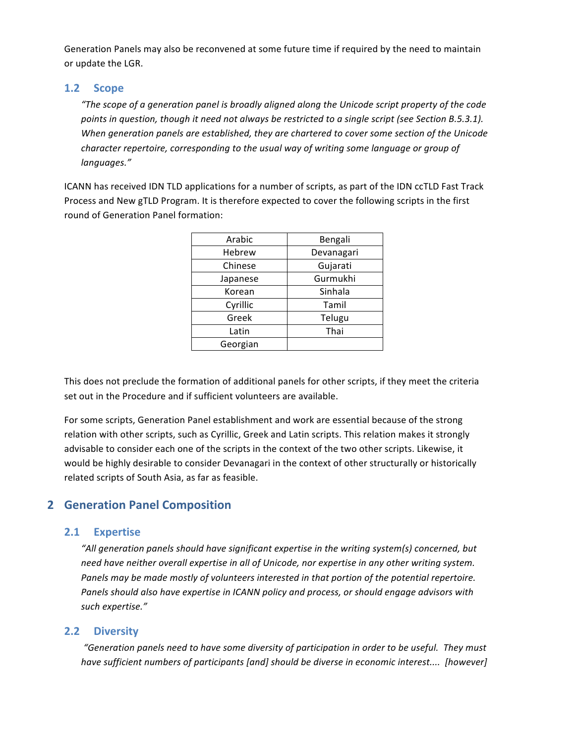Generation Panels may also be reconvened at some future time if required by the need to maintain or update the LGR.

### **1.2 Scope**

*"The scope of a generation panel is broadly aligned along the Unicode script property of the code* points in question, though it need not always be restricted to a single script (see Section B.5.3.1). When generation panels are established, they are chartered to cover some section of the Unicode *character repertoire, corresponding to the usual way of writing some language or group of languages."*

ICANN has received IDN TLD applications for a number of scripts, as part of the IDN ccTLD Fast Track Process and New gTLD Program. It is therefore expected to cover the following scripts in the first round of Generation Panel formation:

| Bengali    |
|------------|
| Devanagari |
| Gujarati   |
| Gurmukhi   |
| Sinhala    |
| Tamil      |
| Telugu     |
| Thai       |
|            |
|            |

This does not preclude the formation of additional panels for other scripts, if they meet the criteria set out in the Procedure and if sufficient volunteers are available.

For some scripts, Generation Panel establishment and work are essential because of the strong relation with other scripts, such as Cyrillic, Greek and Latin scripts. This relation makes it strongly advisable to consider each one of the scripts in the context of the two other scripts. Likewise, it would be highly desirable to consider Devanagari in the context of other structurally or historically related scripts of South Asia, as far as feasible.

# **2 Generation Panel Composition**

## **2.1 Expertise**

"All generation panels should have significant expertise in the writing system(s) concerned, but need have neither overall expertise in all of Unicode, nor expertise in any other writing system. Panels may be made mostly of volunteers interested in that portion of the potential repertoire. Panels should also have expertise in ICANN policy and process, or should engage advisors with *such expertise."*

## **2.2 Diversity**

"Generation panels need to have some diversity of participation in order to be useful. They must *have sufficient numbers of participants* [and] should be diverse in economic interest.... [however]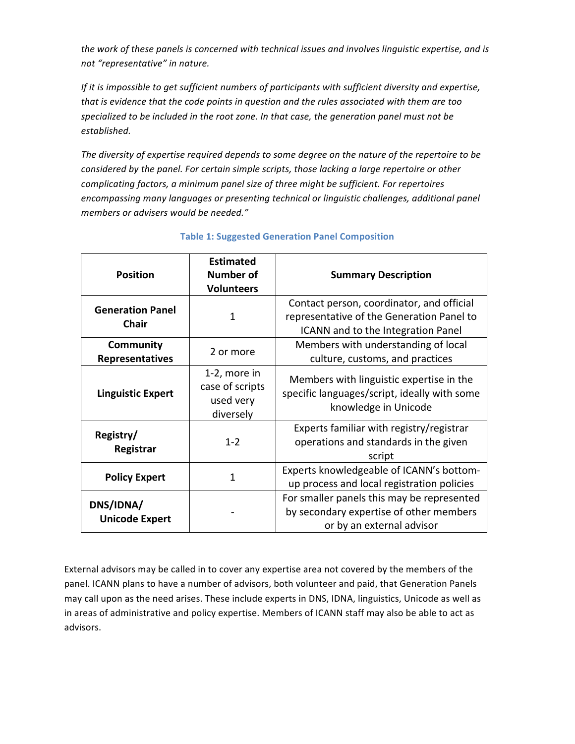the work of these panels is concerned with technical issues and involves linguistic expertise, and is *not "representative" in nature.*

*If* it is impossible to get sufficient numbers of participants with sufficient diversity and expertise, *that is evidence that the code points in question and the rules associated with them are too* specialized to be included in the root zone. In that case, the generation panel must not be *established.*

The diversity of expertise required depends to some degree on the nature of the repertoire to be *considered by the panel. For certain simple scripts, those lacking a large repertoire or other complicating factors, a minimum panel size of three might be sufficient. For repertoires* encompassing many languages or presenting technical or linguistic challenges, additional panel *members or advisers would be needed."*

| <b>Position</b>                         | <b>Estimated</b><br><b>Number of</b><br><b>Volunteers</b> | <b>Summary Description</b>                                                                                                   |
|-----------------------------------------|-----------------------------------------------------------|------------------------------------------------------------------------------------------------------------------------------|
| <b>Generation Panel</b><br><b>Chair</b> | 1                                                         | Contact person, coordinator, and official<br>representative of the Generation Panel to<br>ICANN and to the Integration Panel |
| Community<br><b>Representatives</b>     | 2 or more                                                 | Members with understanding of local<br>culture, customs, and practices                                                       |
| <b>Linguistic Expert</b>                | 1-2, more in<br>case of scripts<br>used very<br>diversely | Members with linguistic expertise in the<br>specific languages/script, ideally with some<br>knowledge in Unicode             |
| Registry/<br>Registrar                  | $1 - 2$                                                   | Experts familiar with registry/registrar<br>operations and standards in the given<br>script                                  |
| <b>Policy Expert</b>                    | 1                                                         | Experts knowledgeable of ICANN's bottom-<br>up process and local registration policies                                       |
| DNS/IDNA/<br><b>Unicode Expert</b>      |                                                           | For smaller panels this may be represented<br>by secondary expertise of other members<br>or by an external advisor           |

#### **Table 1: Suggested Generation Panel Composition**

External advisors may be called in to cover any expertise area not covered by the members of the panel. ICANN plans to have a number of advisors, both volunteer and paid, that Generation Panels may call upon as the need arises. These include experts in DNS, IDNA, linguistics, Unicode as well as in areas of administrative and policy expertise. Members of ICANN staff may also be able to act as advisors.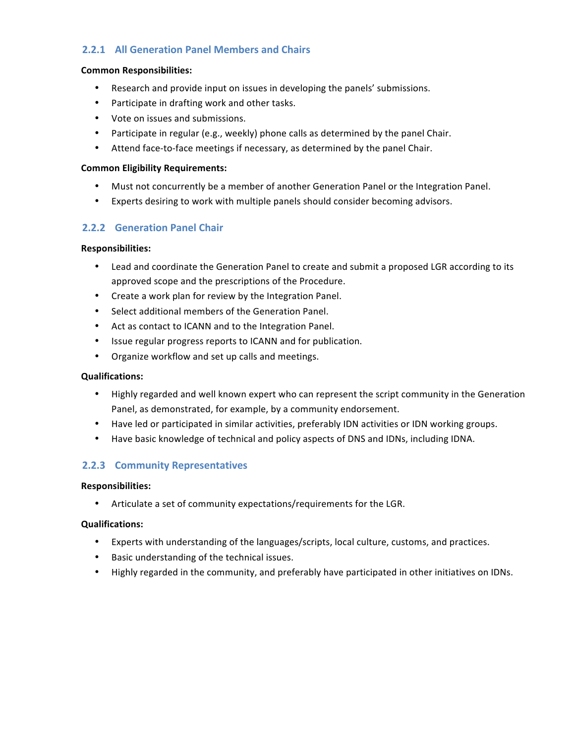## **2.2.1 All Generation Panel Members and Chairs**

#### **Common Responsibilities:**

- Research and provide input on issues in developing the panels' submissions.
- Participate in drafting work and other tasks.
- Vote on issues and submissions.
- Participate in regular (e.g., weekly) phone calls as determined by the panel Chair.
- Attend face-to-face meetings if necessary, as determined by the panel Chair.

#### **Common Eligibility Requirements:**

- Must not concurrently be a member of another Generation Panel or the Integration Panel.
- Experts desiring to work with multiple panels should consider becoming advisors.

#### **2.2.2 Generation Panel Chair**

#### **Responsibilities:**

- Lead and coordinate the Generation Panel to create and submit a proposed LGR according to its approved scope and the prescriptions of the Procedure.
- Create a work plan for review by the Integration Panel.
- Select additional members of the Generation Panel.
- Act as contact to ICANN and to the Integration Panel.
- Issue regular progress reports to ICANN and for publication.
- Organize workflow and set up calls and meetings.

#### **Qualifications:**

- Highly regarded and well known expert who can represent the script community in the Generation Panel, as demonstrated, for example, by a community endorsement.
- Have led or participated in similar activities, preferably IDN activities or IDN working groups.
- Have basic knowledge of technical and policy aspects of DNS and IDNs, including IDNA.

## **2.2.3 Community Representatives**

#### **Responsibilities:**

Articulate a set of community expectations/requirements for the LGR.

#### **Qualifications:**

- Experts with understanding of the languages/scripts, local culture, customs, and practices.
- Basic understanding of the technical issues.
- Highly regarded in the community, and preferably have participated in other initiatives on IDNs.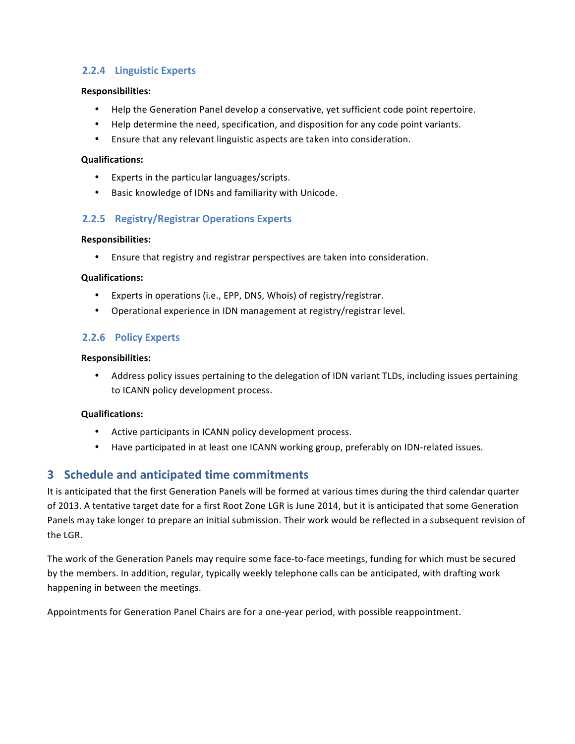## **2.2.4 Linguistic Experts**

#### **Responsibilities:**

- Help the Generation Panel develop a conservative, yet sufficient code point repertoire.
- Help determine the need, specification, and disposition for any code point variants.
- Ensure that any relevant linguistic aspects are taken into consideration.

#### **Qualifications:**

- Experts in the particular languages/scripts.
- Basic knowledge of IDNs and familiarity with Unicode.

#### **2.2.5 Registry/Registrar Operations Experts**

#### **Responsibilities:**

• Ensure that registry and registrar perspectives are taken into consideration.

#### **Qualifications:**

- Experts in operations (i.e., EPP, DNS, Whois) of registry/registrar.
- Operational experience in IDN management at registry/registrar level.

## **2.2.6 Policy Experts**

#### **Responsibilities:**

• Address policy issues pertaining to the delegation of IDN variant TLDs, including issues pertaining to ICANN policy development process.

#### **Qualifications:**

- Active participants in ICANN policy development process.
- Have participated in at least one ICANN working group, preferably on IDN-related issues.

## **3** Schedule and anticipated time commitments

It is anticipated that the first Generation Panels will be formed at various times during the third calendar quarter of 2013. A tentative target date for a first Root Zone LGR is June 2014, but it is anticipated that some Generation Panels may take longer to prepare an initial submission. Their work would be reflected in a subsequent revision of the LGR.

The work of the Generation Panels may require some face-to-face meetings, funding for which must be secured by the members. In addition, regular, typically weekly telephone calls can be anticipated, with drafting work happening in between the meetings.

Appointments for Generation Panel Chairs are for a one-year period, with possible reappointment.